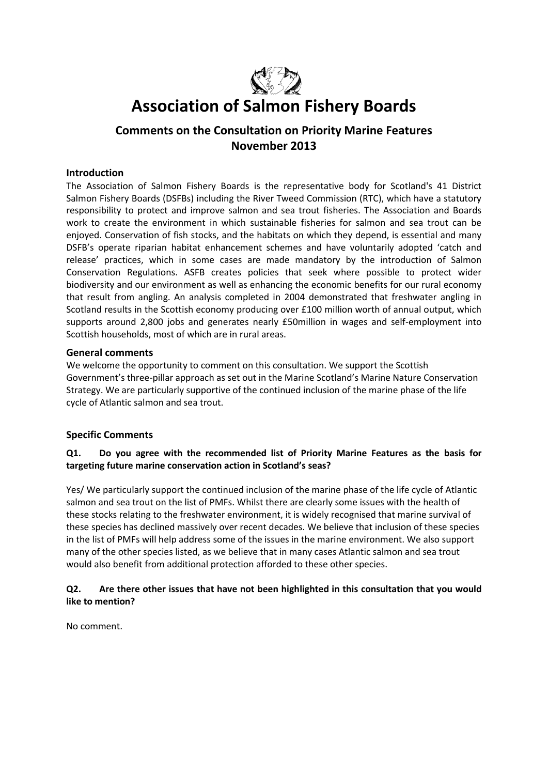

# **Association of Salmon Fishery Boards**

## **Comments on the Consultation on Priority Marine Features November 2013**

#### **Introduction**

The Association of Salmon Fishery Boards is the representative body for Scotland's 41 District Salmon Fishery Boards (DSFBs) including the River Tweed Commission (RTC), which have a statutory responsibility to protect and improve salmon and sea trout fisheries. The Association and Boards work to create the environment in which sustainable fisheries for salmon and sea trout can be enjoyed. Conservation of fish stocks, and the habitats on which they depend, is essential and many DSFB's operate riparian habitat enhancement schemes and have voluntarily adopted 'catch and release' practices, which in some cases are made mandatory by the introduction of Salmon Conservation Regulations. ASFB creates policies that seek where possible to protect wider biodiversity and our environment as well as enhancing the economic benefits for our rural economy that result from angling. An analysis completed in 2004 demonstrated that freshwater angling in Scotland results in the Scottish economy producing over £100 million worth of annual output, which supports around 2,800 jobs and generates nearly £50million in wages and self-employment into Scottish households, most of which are in rural areas.

#### **General comments**

We welcome the opportunity to comment on this consultation. We support the Scottish Government's three-pillar approach as set out in the Marine Scotland's Marine Nature Conservation Strategy. We are particularly supportive of the continued inclusion of the marine phase of the life cycle of Atlantic salmon and sea trout.

#### **Specific Comments**

#### **Q1. Do you agree with the recommended list of Priority Marine Features as the basis for targeting future marine conservation action in Scotland's seas?**

Yes/ We particularly support the continued inclusion of the marine phase of the life cycle of Atlantic salmon and sea trout on the list of PMFs. Whilst there are clearly some issues with the health of these stocks relating to the freshwater environment, it is widely recognised that marine survival of these species has declined massively over recent decades. We believe that inclusion of these species in the list of PMFs will help address some of the issues in the marine environment. We also support many of the other species listed, as we believe that in many cases Atlantic salmon and sea trout would also benefit from additional protection afforded to these other species.

#### **Q2. Are there other issues that have not been highlighted in this consultation that you would like to mention?**

No comment.